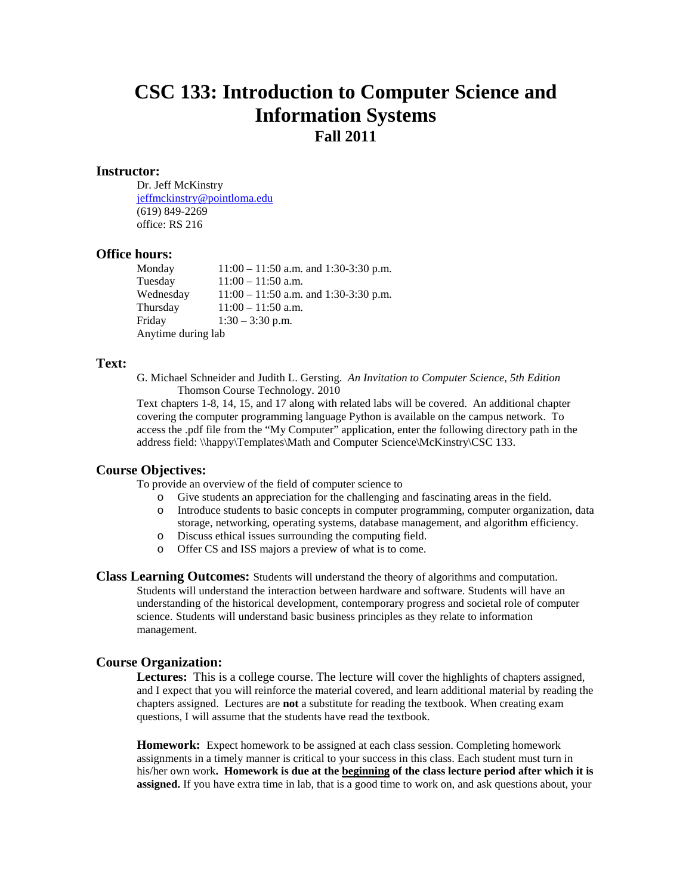# **CSC 133: Introduction to Computer Science and Information Systems Fall 2011**

#### **Instructor:**

Dr. Jeff McKinstry [jeffmckinstry@pointloma.edu](mailto:jeffmckinstry@pointloma.edu) (619) 849-2269 office: RS 216

# **Office hours:**

Monday 11:00 – 11:50 a.m. and 1:30-3:30 p.m.<br>Tuesday 11:00 – 11:50 a.m.  $11:00 - 11:50$  a.m. Wednesday 11:00 – 11:50 a.m. and 1:30-3:30 p.m. Thursday  $11:00 - 11:50$  a.m. Friday 1:30 – 3:30 p.m. Anytime during lab

# **Text:**

G. Michael Schneider and Judith L. Gersting. *An Invitation to Computer Science, 5th Edition* Thomson Course Technology. 2010

Text chapters 1-8, 14, 15, and 17 along with related labs will be covered. An additional chapter covering the computer programming language Python is available on the campus network. To access the .pdf file from the "My Computer" application, enter the following directory path in the address field: \\happy\Templates\Math and Computer Science\McKinstry\CSC 133.

### **Course Objectives:**

To provide an overview of the field of computer science to

- o Give students an appreciation for the challenging and fascinating areas in the field.
- o Introduce students to basic concepts in computer programming, computer organization, data storage, networking, operating systems, database management, and algorithm efficiency.
- o Discuss ethical issues surrounding the computing field.
- o Offer CS and ISS majors a preview of what is to come.

**Class Learning Outcomes:** Students will understand the theory of algorithms and computation. Students will understand the interaction between hardware and software. Students will have an understanding of the historical development, contemporary progress and societal role of computer science. Students will understand basic business principles as they relate to information management.

# **Course Organization:**

Lectures: This is a college course. The lecture will cover the highlights of chapters assigned, and I expect that you will reinforce the material covered, and learn additional material by reading the chapters assigned. Lectures are **not** a substitute for reading the textbook. When creating exam questions, I will assume that the students have read the textbook.

**Homework:** Expect homework to be assigned at each class session. Completing homework assignments in a timely manner is critical to your success in this class. Each student must turn in his/her own work**. Homework is due at the beginning of the class lecture period after which it is assigned.** If you have extra time in lab, that is a good time to work on, and ask questions about, your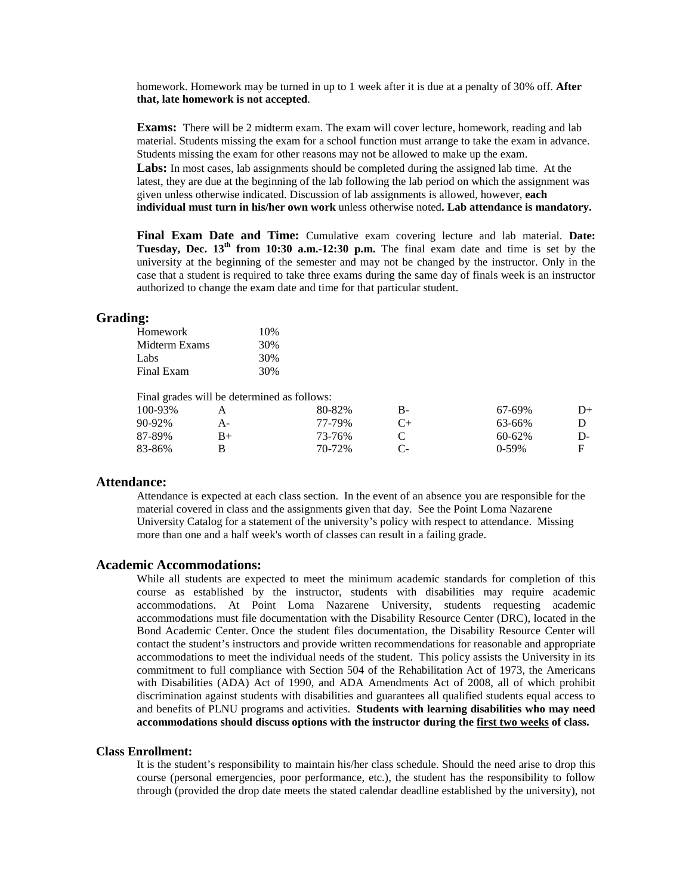homework. Homework may be turned in up to 1 week after it is due at a penalty of 30% off. **After that, late homework is not accepted**.

**Exams:** There will be 2 midterm exam. The exam will cover lecture, homework, reading and lab material. Students missing the exam for a school function must arrange to take the exam in advance. Students missing the exam for other reasons may not be allowed to make up the exam.

**Labs:** In most cases, lab assignments should be completed during the assigned lab time. At the latest, they are due at the beginning of the lab following the lab period on which the assignment was given unless otherwise indicated. Discussion of lab assignments is allowed, however, **each individual must turn in his/her own work** unless otherwise noted**. Lab attendance is mandatory.**

**Final Exam Date and Time:** Cumulative exam covering lecture and lab material. **Date: Tuesday, Dec. 13th from 10:30 a.m.-12:30 p.m.** The final exam date and time is set by the university at the beginning of the semester and may not be changed by the instructor. Only in the case that a student is required to take three exams during the same day of finals week is an instructor authorized to change the exam date and time for that particular student.

# **Grading:**

| Homework      | 10% |
|---------------|-----|
| Midterm Exams | 30% |
| Labs          | 30% |
| Final Exam    | 30% |

Final grades will be determined as follows:

|    | 80-82% | В-        | 67-69%      | D+ |
|----|--------|-----------|-------------|----|
| А- | 77-79% | $C_{\pm}$ | 63-66%      |    |
| B+ | 73-76% |           | $60 - 62\%$ | D- |
|    | 70-72% | C-        | $0-59%$     |    |
|    |        |           |             |    |

### **Attendance:**

Attendance is expected at each class section. In the event of an absence you are responsible for the material covered in class and the assignments given that day. See the Point Loma Nazarene University Catalog for a statement of the university's policy with respect to attendance. Missing more than one and a half week's worth of classes can result in a failing grade.

#### **Academic Accommodations:**

While all students are expected to meet the minimum academic standards for completion of this course as established by the instructor, students with disabilities may require academic accommodations. At Point Loma Nazarene University, students requesting academic accommodations must file documentation with the Disability Resource Center (DRC), located in the Bond Academic Center. Once the student files documentation, the Disability Resource Center will contact the student's instructors and provide written recommendations for reasonable and appropriate accommodations to meet the individual needs of the student. This policy assists the University in its commitment to full compliance with Section 504 of the Rehabilitation Act of 1973, the Americans with Disabilities (ADA) Act of 1990, and ADA Amendments Act of 2008, all of which prohibit discrimination against students with disabilities and guarantees all qualified students equal access to and benefits of PLNU programs and activities. **Students with learning disabilities who may need accommodations should discuss options with the instructor during the first two weeks of class.**

### **Class Enrollment:**

It is the student's responsibility to maintain his/her class schedule. Should the need arise to drop this course (personal emergencies, poor performance, etc.), the student has the responsibility to follow through (provided the drop date meets the stated calendar deadline established by the university), not